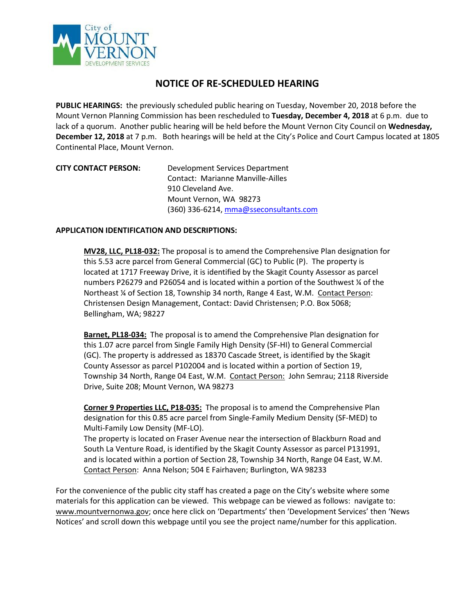

## **NOTICE OF RE-SCHEDULED HEARING**

**PUBLIC HEARINGS:** the previously scheduled public hearing on Tuesday, November 20, 2018 before the Mount Vernon Planning Commission has been rescheduled to **Tuesday, December 4, 2018** at 6 p.m. due to lack of a quorum. Another public hearing will be held before the Mount Vernon City Council on **Wednesday, December 12, 2018** at 7 p.m. Both hearings will be held at the City's Police and Court Campus located at 1805 Continental Place, Mount Vernon.

| <b>CITY CONTACT PERSON:</b> | Development Services Department        |
|-----------------------------|----------------------------------------|
|                             | Contact: Marianne Manville-Ailles      |
|                             | 910 Cleveland Ave.                     |
|                             | Mount Vernon, WA 98273                 |
|                             | (360) 336-6214, mma@sseconsultants.com |

## **APPLICATION IDENTIFICATION AND DESCRIPTIONS:**

**MV28, LLC, PL18-032:** The proposal is to amend the Comprehensive Plan designation for this 5.53 acre parcel from General Commercial (GC) to Public (P). The property is located at 1717 Freeway Drive, it is identified by the Skagit County Assessor as parcel numbers P26279 and P26054 and is located within a portion of the Southwest ¼ of the Northeast % of Section 18, Township 34 north, Range 4 East, W.M. Contact Person: Christensen Design Management, Contact: David Christensen; P.O. Box 5068; Bellingham, WA; 98227

**Barnet, PL18-034:** The proposal is to amend the Comprehensive Plan designation for this 1.07 acre parcel from Single Family High Density (SF-HI) to General Commercial (GC). The property is addressed as 18370 Cascade Street, is identified by the Skagit County Assessor as parcel P102004 and is located within a portion of Section 19, Township 34 North, Range 04 East, W.M. Contact Person: John Semrau; 2118 Riverside Drive, Suite 208; Mount Vernon, WA 98273

**Corner 9 Properties LLC, P18-035:** The proposal is to amend the Comprehensive Plan designation for this 0.85 acre parcel from Single-Family Medium Density (SF-MED) to Multi-Family Low Density (MF-LO).

The property is located on Fraser Avenue near the intersection of Blackburn Road and South La Venture Road, is identified by the Skagit County Assessor as parcel P131991, and is located within a portion of Section 28, Township 34 North, Range 04 East, W.M. Contact Person: Anna Nelson; 504 E Fairhaven; Burlington, WA 98233

For the convenience of the public city staff has created a page on the City's website where some materials for this application can be viewed. This webpage can be viewed as follows: navigate to: [www.mountvernonwa.gov;](http://www.mountvernonwa.gov/) once here click on 'Departments' then 'Development Services' then 'News Notices' and scroll down this webpage until you see the project name/number for this application.